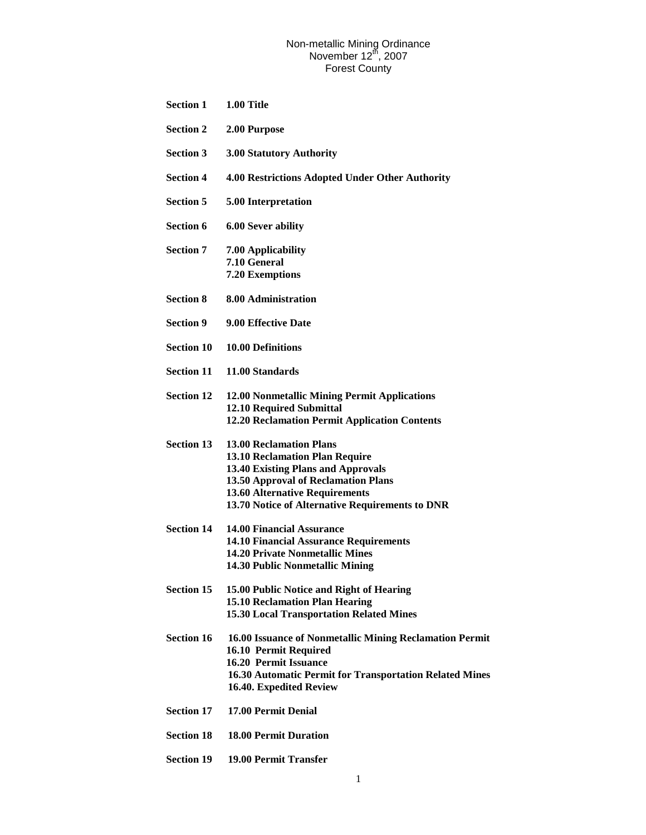| <b>Section 1</b>  | 1.00 Title                                                                                                                                                                                                                                              |
|-------------------|---------------------------------------------------------------------------------------------------------------------------------------------------------------------------------------------------------------------------------------------------------|
| <b>Section 2</b>  | 2.00 Purpose                                                                                                                                                                                                                                            |
| <b>Section 3</b>  | 3.00 Statutory Authority                                                                                                                                                                                                                                |
| <b>Section 4</b>  | 4.00 Restrictions Adopted Under Other Authority                                                                                                                                                                                                         |
| <b>Section 5</b>  | 5.00 Interpretation                                                                                                                                                                                                                                     |
| <b>Section 6</b>  | <b>6.00 Sever ability</b>                                                                                                                                                                                                                               |
| <b>Section 7</b>  | 7.00 Applicability<br>7.10 General<br><b>7.20 Exemptions</b>                                                                                                                                                                                            |
| <b>Section 8</b>  | 8.00 Administration                                                                                                                                                                                                                                     |
| <b>Section 9</b>  | 9.00 Effective Date                                                                                                                                                                                                                                     |
| <b>Section 10</b> | <b>10.00 Definitions</b>                                                                                                                                                                                                                                |
| <b>Section 11</b> | 11.00 Standards                                                                                                                                                                                                                                         |
| <b>Section 12</b> | 12.00 Nonmetallic Mining Permit Applications<br><b>12.10 Required Submittal</b><br><b>12.20 Reclamation Permit Application Contents</b>                                                                                                                 |
| <b>Section 13</b> | <b>13.00 Reclamation Plans</b><br><b>13.10 Reclamation Plan Require</b><br><b>13.40 Existing Plans and Approvals</b><br>13.50 Approval of Reclamation Plans<br><b>13.60 Alternative Requirements</b><br>13.70 Notice of Alternative Requirements to DNR |
| Section 14        | <b>14.00 Financial Assurance</b><br><b>14.10 Financial Assurance Requirements</b><br><b>14.20 Private Nonmetallic Mines</b><br>14.30 Public Nonmetallic Mining                                                                                          |
| <b>Section 15</b> | 15.00 Public Notice and Right of Hearing<br><b>15.10 Reclamation Plan Hearing</b><br><b>15.30 Local Transportation Related Mines</b>                                                                                                                    |
| <b>Section 16</b> | 16.00 Issuance of Nonmetallic Mining Reclamation Permit<br>16.10 Permit Required<br>16.20 Permit Issuance<br><b>16.30 Automatic Permit for Transportation Related Mines</b><br>16.40. Expedited Review                                                  |
| <b>Section 17</b> | 17.00 Permit Denial                                                                                                                                                                                                                                     |
| <b>Section 18</b> | <b>18.00 Permit Duration</b>                                                                                                                                                                                                                            |
| <b>Section 19</b> | 19.00 Permit Transfer                                                                                                                                                                                                                                   |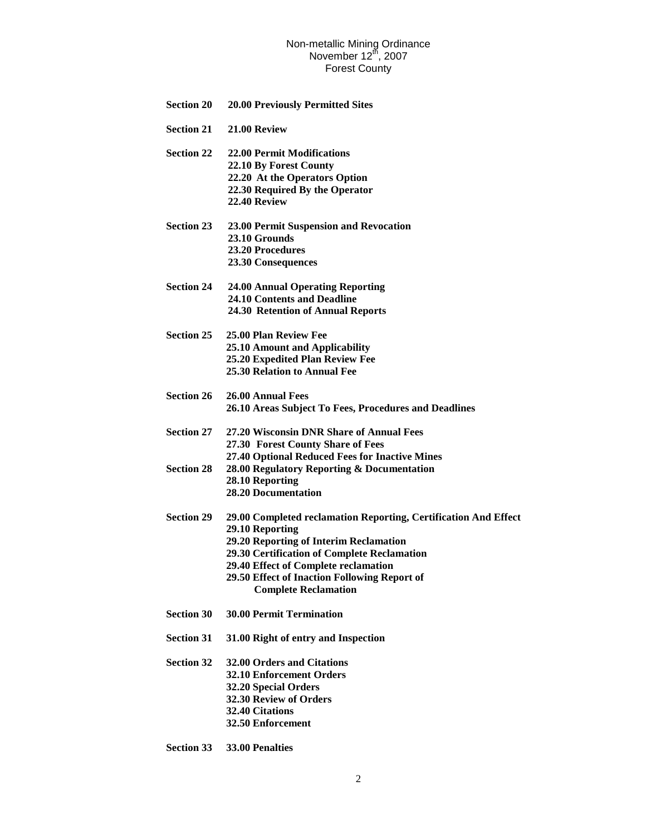| <b>Section 20</b> | <b>20.00 Previously Permitted Sites</b>                                     |
|-------------------|-----------------------------------------------------------------------------|
| <b>Section 21</b> | 21.00 Review                                                                |
| <b>Section 22</b> | <b>22.00 Permit Modifications</b>                                           |
|                   | 22.10 By Forest County                                                      |
|                   | 22.20 At the Operators Option                                               |
|                   | 22.30 Required By the Operator                                              |
|                   | 22.40 Review                                                                |
| <b>Section 23</b> | 23.00 Permit Suspension and Revocation                                      |
|                   | 23.10 Grounds                                                               |
|                   | <b>23.20 Procedures</b>                                                     |
|                   | 23.30 Consequences                                                          |
| <b>Section 24</b> | <b>24.00 Annual Operating Reporting</b>                                     |
|                   | 24.10 Contents and Deadline                                                 |
|                   | 24.30 Retention of Annual Reports                                           |
| <b>Section 25</b> | 25.00 Plan Review Fee                                                       |
|                   | 25.10 Amount and Applicability                                              |
|                   | 25.20 Expedited Plan Review Fee                                             |
|                   | <b>25.30 Relation to Annual Fee</b>                                         |
| <b>Section 26</b> | 26.00 Annual Fees                                                           |
|                   | 26.10 Areas Subject To Fees, Procedures and Deadlines                       |
| <b>Section 27</b> | 27.20 Wisconsin DNR Share of Annual Fees                                    |
|                   | 27.30 Forest County Share of Fees                                           |
|                   | 27.40 Optional Reduced Fees for Inactive Mines                              |
| <b>Section 28</b> | 28.00 Regulatory Reporting & Documentation                                  |
|                   | 28.10 Reporting                                                             |
|                   | <b>28.20 Documentation</b>                                                  |
| <b>Section 29</b> | 29.00 Completed reclamation Reporting, Certification And Effect             |
|                   | 29.10 Reporting                                                             |
|                   | <b>29.20 Reporting of Interim Reclamation</b>                               |
|                   | 29.30 Certification of Complete Reclamation                                 |
|                   | 29.40 Effect of Complete reclamation                                        |
|                   | 29.50 Effect of Inaction Following Report of<br><b>Complete Reclamation</b> |
| <b>Section 30</b> | <b>30.00 Permit Termination</b>                                             |
| <b>Section 31</b> | 31.00 Right of entry and Inspection                                         |
| <b>Section 32</b> | 32.00 Orders and Citations                                                  |
|                   | <b>32.10 Enforcement Orders</b>                                             |
|                   | 32.20 Special Orders                                                        |
|                   | 32.30 Review of Orders                                                      |
|                   | 32.40 Citations                                                             |
|                   | 32.50 Enforcement                                                           |
|                   |                                                                             |

**Section 33 33.00 Penalties**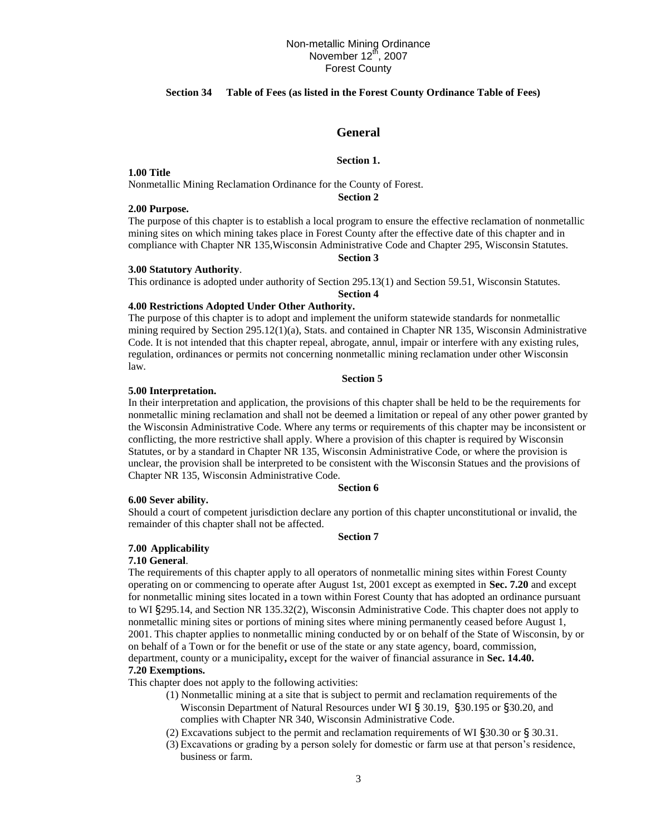# **Section 34 Table of Fees (as listed in the Forest County Ordinance Table of Fees)**

# **General**

### **Section 1.**

**1.00 Title**

Nonmetallic Mining Reclamation Ordinance for the County of Forest.

**Section 2**

### **2.00 Purpose.**

The purpose of this chapter is to establish a local program to ensure the effective reclamation of nonmetallic mining sites on which mining takes place in Forest County after the effective date of this chapter and in compliance with Chapter NR 135,Wisconsin Administrative Code and Chapter 295, Wisconsin Statutes.

### **Section 3**

# **3.00 Statutory Authority**.

This ordinance is adopted under authority of Section 295.13(1) and Section 59.51, Wisconsin Statutes.

### **Section 4 4.00 Restrictions Adopted Under Other Authority.**

The purpose of this chapter is to adopt and implement the uniform statewide standards for nonmetallic mining required by Section 295.12(1)(a), Stats. and contained in Chapter NR 135, Wisconsin Administrative Code. It is not intended that this chapter repeal, abrogate, annul, impair or interfere with any existing rules, regulation, ordinances or permits not concerning nonmetallic mining reclamation under other Wisconsin law.

### **Section 5**

#### **5.00 Interpretation.**

In their interpretation and application, the provisions of this chapter shall be held to be the requirements for nonmetallic mining reclamation and shall not be deemed a limitation or repeal of any other power granted by the Wisconsin Administrative Code. Where any terms or requirements of this chapter may be inconsistent or conflicting, the more restrictive shall apply. Where a provision of this chapter is required by Wisconsin Statutes, or by a standard in Chapter NR 135, Wisconsin Administrative Code, or where the provision is unclear, the provision shall be interpreted to be consistent with the Wisconsin Statues and the provisions of Chapter NR 135, Wisconsin Administrative Code.

# **Section 6**

#### **6.00 Sever ability.**

Should a court of competent jurisdiction declare any portion of this chapter unconstitutional or invalid, the remainder of this chapter shall not be affected.

#### **Section 7**

### **7.00 Applicability**

#### **7.10 General**.

The requirements of this chapter apply to all operators of nonmetallic mining sites within Forest County operating on or commencing to operate after August 1st, 2001 except as exempted in **Sec. 7.20** and except for nonmetallic mining sites located in a town within Forest County that has adopted an ordinance pursuant to WI §295.14, and Section NR 135.32(2), Wisconsin Administrative Code. This chapter does not apply to nonmetallic mining sites or portions of mining sites where mining permanently ceased before August 1, 2001. This chapter applies to nonmetallic mining conducted by or on behalf of the State of Wisconsin, by or on behalf of a Town or for the benefit or use of the state or any state agency, board, commission, department, county or a municipality**,** except for the waiver of financial assurance in **Sec. 14.40.**

#### **7.20 Exemptions.**

This chapter does not apply to the following activities:

- (1) Nonmetallic mining at a site that is subject to permit and reclamation requirements of the Wisconsin Department of Natural Resources under WI § 30.19, §30.195 or §30.20, and complies with Chapter NR 340, Wisconsin Administrative Code.
- (2) Excavations subject to the permit and reclamation requirements of WI §30.30 or § 30.31.
- (3) Excavations or grading by a person solely for domestic or farm use at that person's residence, business or farm.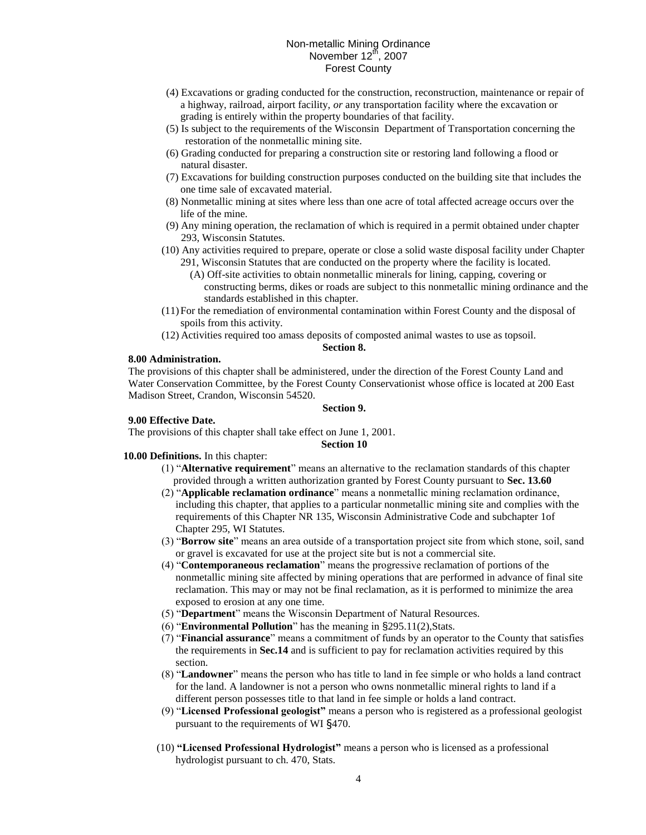- (4) Excavations or grading conducted for the construction, reconstruction, maintenance or repair of a highway, railroad, airport facility, *or* any transportation facility where the excavation or grading is entirely within the property boundaries of that facility.
- (5) Is subject to the requirements of the Wisconsin Department of Transportation concerning the restoration of the nonmetallic mining site.
- (6) Grading conducted for preparing a construction site or restoring land following a flood or natural disaster.
- (7) Excavations for building construction purposes conducted on the building site that includes the one time sale of excavated material.
- (8) Nonmetallic mining at sites where less than one acre of total affected acreage occurs over the life of the mine.
- (9) Any mining operation, the reclamation of which is required in a permit obtained under chapter 293, Wisconsin Statutes.
- (10) Any activities required to prepare, operate or close a solid waste disposal facility under Chapter
	- 291, Wisconsin Statutes that are conducted on the property where the facility is located. (A) Off-site activities to obtain nonmetallic minerals for lining, capping, covering or
		- constructing berms, dikes or roads are subject to this nonmetallic mining ordinance and the standards established in this chapter.
- (11)For the remediation of environmental contamination within Forest County and the disposal of spoils from this activity.
- (12) Activities required too amass deposits of composted animal wastes to use as topsoil.

# **Section 8.**

# **8.00 Administration.**

The provisions of this chapter shall be administered, under the direction of the Forest County Land and Water Conservation Committee, by the Forest County Conservationist whose office is located at 200 East Madison Street, Crandon, Wisconsin 54520.

### **Section 9.**

# **9.00 Effective Date.**

The provisions of this chapter shall take effect on June 1, 2001.

### **Section 10**

**10.00 Definitions.** In this chapter:

- (1) "**Alternative requirement**" means an alternative to the reclamation standards of this chapter provided through a written authorization granted by Forest County pursuant to **Sec. 13.60**
- (2) "**Applicable reclamation ordinance**" means a nonmetallic mining reclamation ordinance, including this chapter, that applies to a particular nonmetallic mining site and complies with the requirements of this Chapter NR 135, Wisconsin Administrative Code and subchapter 1of Chapter 295, WI Statutes.
- (3) "**Borrow site**" means an area outside of a transportation project site from which stone, soil, sand or gravel is excavated for use at the project site but is not a commercial site.
- (4) "**Contemporaneous reclamation**" means the progressive reclamation of portions of the nonmetallic mining site affected by mining operations that are performed in advance of final site reclamation. This may or may not be final reclamation, as it is performed to minimize the area exposed to erosion at any one time.
- (5) "**Department**" means the Wisconsin Department of Natural Resources.
- (6) "**Environmental Pollution**" has the meaning in §295.11(2),Stats.
- (7) "**Financial assurance**" means a commitment of funds by an operator to the County that satisfies the requirements in **Sec.14** and is sufficient to pay for reclamation activities required by this section.
- (8) "**Landowner**" means the person who has title to land in fee simple or who holds a land contract for the land. A landowner is not a person who owns nonmetallic mineral rights to land if a different person possesses title to that land in fee simple or holds a land contract.
- (9) "**Licensed Professional geologist"** means a person who is registered as a professional geologist pursuant to the requirements of WI §470.
- (10) **"Licensed Professional Hydrologist"** means a person who is licensed as a professional hydrologist pursuant to ch. 470, Stats.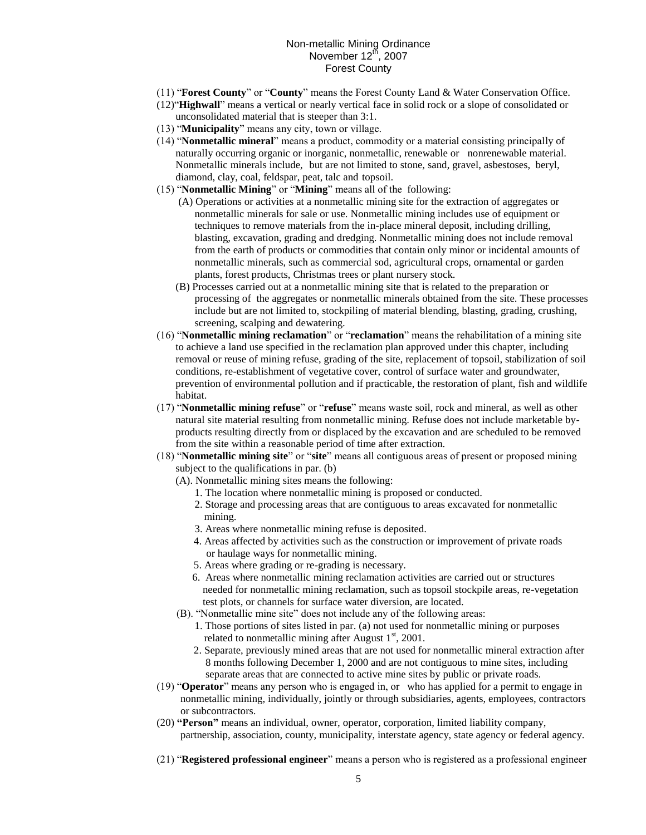- (11) "**Forest County**" or "**County**" means the Forest County Land & Water Conservation Office.
- (12)"**Highwall**" means a vertical or nearly vertical face in solid rock or a slope of consolidated or unconsolidated material that is steeper than 3:1.
- (13) "**Municipality**" means any city, town or village.
- (14) "**Nonmetallic mineral**" means a product, commodity or a material consisting principally of naturally occurring organic or inorganic, nonmetallic, renewable or nonrenewable material. Nonmetallic minerals include, but are not limited to stone, sand, gravel, asbestoses, beryl, diamond, clay, coal, feldspar, peat, talc and topsoil.
- (15) "**Nonmetallic Mining**" or "**Mining**" means all of the following:
	- (A) Operations or activities at a nonmetallic mining site for the extraction of aggregates or nonmetallic minerals for sale or use. Nonmetallic mining includes use of equipment or techniques to remove materials from the in-place mineral deposit, including drilling, blasting, excavation, grading and dredging. Nonmetallic mining does not include removal from the earth of products or commodities that contain only minor or incidental amounts of nonmetallic minerals, such as commercial sod, agricultural crops, ornamental or garden plants, forest products, Christmas trees or plant nursery stock.
	- (B) Processes carried out at a nonmetallic mining site that is related to the preparation or processing of the aggregates or nonmetallic minerals obtained from the site. These processes include but are not limited to, stockpiling of material blending, blasting, grading, crushing, screening, scalping and dewatering.
- (16) "**Nonmetallic mining reclamation**" or "**reclamation**" means the rehabilitation of a mining site to achieve a land use specified in the reclamation plan approved under this chapter, including removal or reuse of mining refuse, grading of the site, replacement of topsoil, stabilization of soil conditions, re-establishment of vegetative cover, control of surface water and groundwater, prevention of environmental pollution and if practicable, the restoration of plant, fish and wildlife habitat.
- (17) "**Nonmetallic mining refuse**" or "**refuse**" means waste soil, rock and mineral, as well as other natural site material resulting from nonmetallic mining. Refuse does not include marketable byproducts resulting directly from or displaced by the excavation and are scheduled to be removed from the site within a reasonable period of time after extraction.
- (18) "**Nonmetallic mining site**" or "**site**" means all contiguous areas of present or proposed mining subject to the qualifications in par. (b)
	- (A). Nonmetallic mining sites means the following:
		- 1. The location where nonmetallic mining is proposed or conducted.
		- 2. Storage and processing areas that are contiguous to areas excavated for nonmetallic mining.
		- 3. Areas where nonmetallic mining refuse is deposited.
		- 4. Areas affected by activities such as the construction or improvement of private roads or haulage ways for nonmetallic mining.
		- 5. Areas where grading or re-grading is necessary.
		- 6. Areas where nonmetallic mining reclamation activities are carried out or structures needed for nonmetallic mining reclamation, such as topsoil stockpile areas, re-vegetation test plots, or channels for surface water diversion, are located.
	- (B). "Nonmetallic mine site" does not include any of the following areas:
		- 1. Those portions of sites listed in par. (a) not used for nonmetallic mining or purposes related to nonmetallic mining after August  $1<sup>st</sup>$ , 2001.
		- 2. Separate, previously mined areas that are not used for nonmetallic mineral extraction after 8 months following December 1, 2000 and are not contiguous to mine sites, including separate areas that are connected to active mine sites by public or private roads.
- (19) "**Operator**" means any person who is engaged in, or who has applied for a permit to engage in nonmetallic mining, individually, jointly or through subsidiaries, agents, employees, contractors or subcontractors.
- (20) **"Person"** means an individual, owner, operator, corporation, limited liability company, partnership, association, county, municipality, interstate agency, state agency or federal agency.
- (21) "**Registered professional engineer**" means a person who is registered as a professional engineer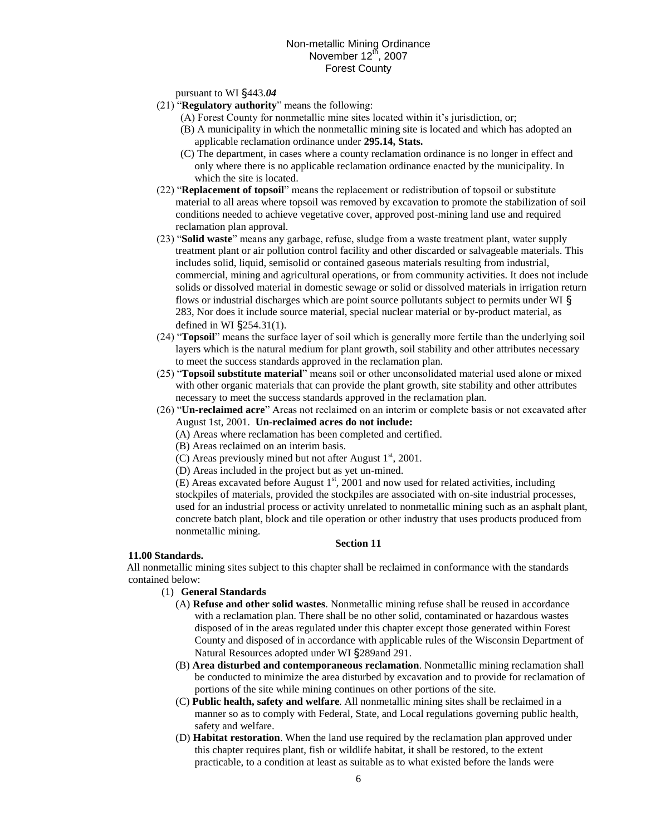## pursuant to WI §443.*04*

- (21) "**Regulatory authority**" means the following:
	- (A) Forest County for nonmetallic mine sites located within it's jurisdiction, or;
	- (B) A municipality in which the nonmetallic mining site is located and which has adopted an applicable reclamation ordinance under **295.14, Stats.**
	- (C) The department, in cases where a county reclamation ordinance is no longer in effect and only where there is no applicable reclamation ordinance enacted by the municipality. In which the site is located.
- (22) "**Replacement of topsoil**" means the replacement or redistribution of topsoil or substitute material to all areas where topsoil was removed by excavation to promote the stabilization of soil conditions needed to achieve vegetative cover, approved post-mining land use and required reclamation plan approval.
- (23) "**Solid waste**" means any garbage, refuse, sludge from a waste treatment plant, water supply treatment plant or air pollution control facility and other discarded or salvageable materials. This includes solid, liquid, semisolid or contained gaseous materials resulting from industrial, commercial, mining and agricultural operations, or from community activities. It does not include solids or dissolved material in domestic sewage or solid or dissolved materials in irrigation return flows or industrial discharges which are point source pollutants subject to permits under WI § 283, Nor does it include source material, special nuclear material or by-product material, as defined in WI §254.31(1).
- (24) "**Topsoil**" means the surface layer of soil which is generally more fertile than the underlying soil layers which is the natural medium for plant growth, soil stability and other attributes necessary to meet the success standards approved in the reclamation plan.
- (25) "**Topsoil substitute material**" means soil or other unconsolidated material used alone or mixed with other organic materials that can provide the plant growth, site stability and other attributes necessary to meet the success standards approved in the reclamation plan.
- (26) "**Un-reclaimed acre**" Areas not reclaimed on an interim or complete basis or not excavated after August 1st, 2001. **Un-reclaimed acres do not include:**
	- (A) Areas where reclamation has been completed and certified.
	- (B) Areas reclaimed on an interim basis.
	- (C) Areas previously mined but not after August  $1<sup>st</sup>$ , 2001.
	- (D) Areas included in the project but as yet un-mined.

(E) Areas excavated before August  $1<sup>st</sup>$ , 2001 and now used for related activities, including stockpiles of materials, provided the stockpiles are associated with on-site industrial processes, used for an industrial process or activity unrelated to nonmetallic mining such as an asphalt plant, concrete batch plant, block and tile operation or other industry that uses products produced from nonmetallic mining.

### **Section 11**

### **11.00 Standards.**

All nonmetallic mining sites subject to this chapter shall be reclaimed in conformance with the standards contained below:

# (1) **General Standards**

- (A) **Refuse and other solid wastes**. Nonmetallic mining refuse shall be reused in accordance with a reclamation plan. There shall be no other solid, contaminated or hazardous wastes disposed of in the areas regulated under this chapter except those generated within Forest County and disposed of in accordance with applicable rules of the Wisconsin Department of Natural Resources adopted under WI §289and 291.
- (B) **Area disturbed and contemporaneous reclamation**. Nonmetallic mining reclamation shall be conducted to minimize the area disturbed by excavation and to provide for reclamation of portions of the site while mining continues on other portions of the site.
- (C) **Public health, safety and welfare**. All nonmetallic mining sites shall be reclaimed in a manner so as to comply with Federal, State, and Local regulations governing public health, safety and welfare.
- (D) **Habitat restoration**. When the land use required by the reclamation plan approved under this chapter requires plant, fish or wildlife habitat, it shall be restored, to the extent practicable, to a condition at least as suitable as to what existed before the lands were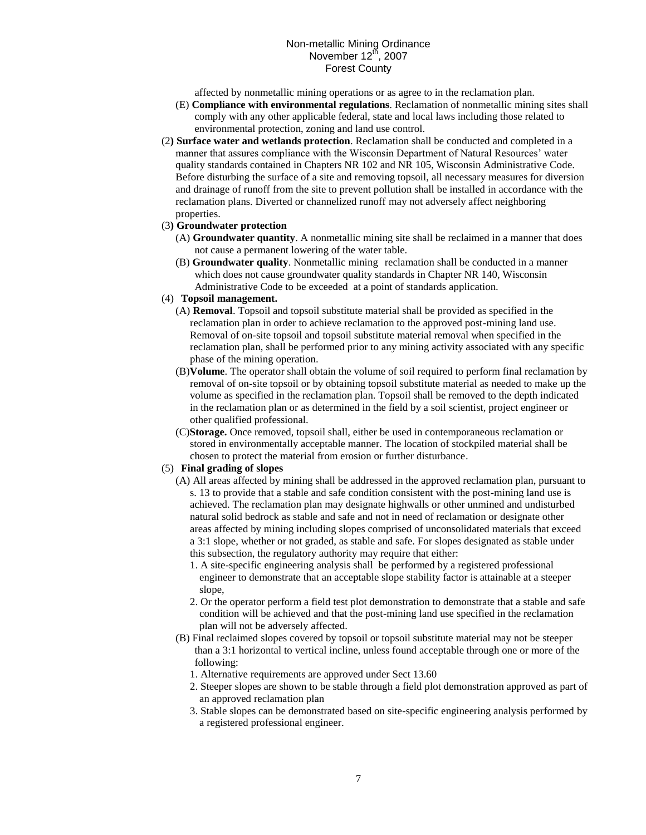affected by nonmetallic mining operations or as agree to in the reclamation plan.

- (E) **Compliance with environmental regulations**. Reclamation of nonmetallic mining sites shall comply with any other applicable federal, state and local laws including those related to environmental protection, zoning and land use control.
- (2**) Surface water and wetlands protection**. Reclamation shall be conducted and completed in a manner that assures compliance with the Wisconsin Department of Natural Resources' water quality standards contained in Chapters NR 102 and NR 105, Wisconsin Administrative Code. Before disturbing the surface of a site and removing topsoil, all necessary measures for diversion and drainage of runoff from the site to prevent pollution shall be installed in accordance with the reclamation plans. Diverted or channelized runoff may not adversely affect neighboring properties.

# (3**) Groundwater protection**

- (A) **Groundwater quantity**. A nonmetallic mining site shall be reclaimed in a manner that does not cause a permanent lowering of the water table.
- (B) **Groundwater quality**. Nonmetallic mining reclamation shall be conducted in a manner which does not cause groundwater quality standards in Chapter NR 140, Wisconsin Administrative Code to be exceeded at a point of standards application.
- (4) **Topsoil management.**
	- (A) **Removal**. Topsoil and topsoil substitute material shall be provided as specified in the reclamation plan in order to achieve reclamation to the approved post-mining land use. Removal of on-site topsoil and topsoil substitute material removal when specified in the reclamation plan, shall be performed prior to any mining activity associated with any specific phase of the mining operation.
	- (B)**Volume**. The operator shall obtain the volume of soil required to perform final reclamation by removal of on-site topsoil or by obtaining topsoil substitute material as needed to make up the volume as specified in the reclamation plan. Topsoil shall be removed to the depth indicated in the reclamation plan or as determined in the field by a soil scientist, project engineer or other qualified professional.
	- (C)**Storage.** Once removed, topsoil shall, either be used in contemporaneous reclamation or stored in environmentally acceptable manner. The location of stockpiled material shall be chosen to protect the material from erosion or further disturbance.

# (5) **Final grading of slopes**

- (A) All areas affected by mining shall be addressed in the approved reclamation plan, pursuant to s. 13 to provide that a stable and safe condition consistent with the post-mining land use is achieved. The reclamation plan may designate highwalls or other unmined and undisturbed natural solid bedrock as stable and safe and not in need of reclamation or designate other areas affected by mining including slopes comprised of unconsolidated materials that exceed a 3:1 slope, whether or not graded, as stable and safe. For slopes designated as stable under this subsection, the regulatory authority may require that either:
	- 1. A site-specific engineering analysis shall be performed by a registered professional engineer to demonstrate that an acceptable slope stability factor is attainable at a steeper slope,
	- 2. Or the operator perform a field test plot demonstration to demonstrate that a stable and safe condition will be achieved and that the post-mining land use specified in the reclamation plan will not be adversely affected.
- (B) Final reclaimed slopes covered by topsoil or topsoil substitute material may not be steeper than a 3:1 horizontal to vertical incline, unless found acceptable through one or more of the following:
	- 1. Alternative requirements are approved under Sect 13.60
	- 2. Steeper slopes are shown to be stable through a field plot demonstration approved as part of an approved reclamation plan
	- 3. Stable slopes can be demonstrated based on site-specific engineering analysis performed by a registered professional engineer.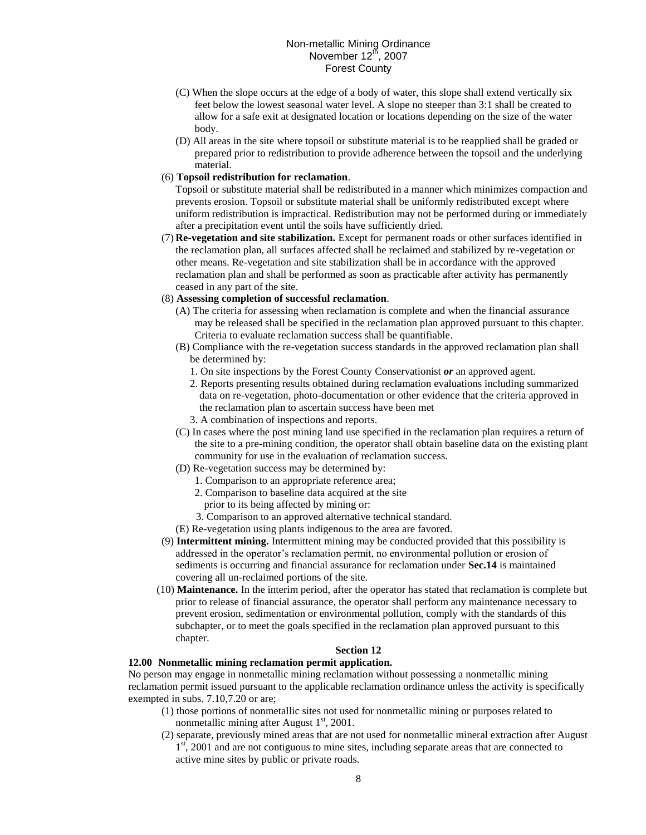- (C) When the slope occurs at the edge of a body of water, this slope shall extend vertically six feet below the lowest seasonal water level. A slope no steeper than 3:1 shall be created to allow for a safe exit at designated location or locations depending on the size of the water body.
- (D) All areas in the site where topsoil or substitute material is to be reapplied shall be graded or prepared prior to redistribution to provide adherence between the topsoil and the underlying material.

### (6) **Topsoil redistribution for reclamation**.

Topsoil or substitute material shall be redistributed in a manner which minimizes compaction and prevents erosion. Topsoil or substitute material shall be uniformly redistributed except where uniform redistribution is impractical. Redistribution may not be performed during or immediately after a precipitation event until the soils have sufficiently dried.

(7) **Re-vegetation and site stabilization.** Except for permanent roads or other surfaces identified in the reclamation plan, all surfaces affected shall be reclaimed and stabilized by re-vegetation or other means. Re-vegetation and site stabilization shall be in accordance with the approved reclamation plan and shall be performed as soon as practicable after activity has permanently ceased in any part of the site.

# (8) **Assessing completion of successful reclamation**.

- (A) The criteria for assessing when reclamation is complete and when the financial assurance may be released shall be specified in the reclamation plan approved pursuant to this chapter. Criteria to evaluate reclamation success shall be quantifiable.
- (B) Compliance with the re-vegetation success standards in the approved reclamation plan shall be determined by:
	- 1. On site inspections by the Forest County Conservationist *or* an approved agent.
	- 2. Reports presenting results obtained during reclamation evaluations including summarized data on re-vegetation, photo-documentation or other evidence that the criteria approved in the reclamation plan to ascertain success have been met
	- 3. A combination of inspections and reports.
- (C) In cases where the post mining land use specified in the reclamation plan requires a return of the site to a pre-mining condition, the operator shall obtain baseline data on the existing plant community for use in the evaluation of reclamation success.
- (D) Re-vegetation success may be determined by:
	- 1. Comparison to an appropriate reference area;
		- 2. Comparison to baseline data acquired at the site
			- prior to its being affected by mining or:
	- 3. Comparison to an approved alternative technical standard.
- (E) Re-vegetation using plants indigenous to the area are favored.
- (9) **Intermittent mining.** Intermittent mining may be conducted provided that this possibility is addressed in the operator's reclamation permit, no environmental pollution or erosion of sediments is occurring and financial assurance for reclamation under **Sec.14** is maintained covering all un-reclaimed portions of the site.
- (10) **Maintenance.** In the interim period, after the operator has stated that reclamation is complete but prior to release of financial assurance, the operator shall perform any maintenance necessary to prevent erosion, sedimentation or environmental pollution, comply with the standards of this subchapter, or to meet the goals specified in the reclamation plan approved pursuant to this chapter.

# **Section 12**

### **12.00 Nonmetallic mining reclamation permit application.**

No person may engage in nonmetallic mining reclamation without possessing a nonmetallic mining reclamation permit issued pursuant to the applicable reclamation ordinance unless the activity is specifically exempted in subs. 7.10,7.20 or are;

- (1) those portions of nonmetallic sites not used for nonmetallic mining or purposes related to nonmetallic mining after August  $1<sup>st</sup>$ , 2001.
- (2) separate, previously mined areas that are not used for nonmetallic mineral extraction after August  $1<sup>st</sup>$ , 2001 and are not contiguous to mine sites, including separate areas that are connected to active mine sites by public or private roads.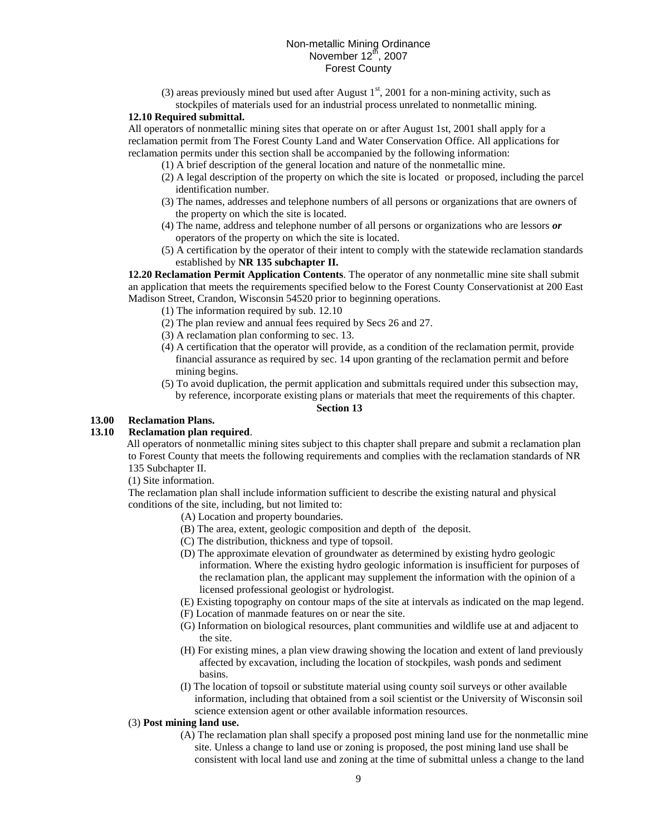(3) areas previously mined but used after August  $1<sup>st</sup>$ , 2001 for a non-mining activity, such as

# stockpiles of materials used for an industrial process unrelated to nonmetallic mining. **12.10 Required submittal.**

All operators of nonmetallic mining sites that operate on or after August 1st, 2001 shall apply for a reclamation permit from The Forest County Land and Water Conservation Office. All applications for reclamation permits under this section shall be accompanied by the following information:

- (1) A brief description of the general location and nature of the nonmetallic mine.
- (2) A legal description of the property on which the site is located or proposed, including the parcel identification number.
- (3) The names, addresses and telephone numbers of all persons or organizations that are owners of the property on which the site is located.
- (4) The name, address and telephone number of all persons or organizations who are lessors *or*  operators of the property on which the site is located.
- (5) A certification by the operator of their intent to comply with the statewide reclamation standards established by **NR 135 subchapter II.**

**12.20 Reclamation Permit Application Contents**. The operator of any nonmetallic mine site shall submit an application that meets the requirements specified below to the Forest County Conservationist at 200 East Madison Street, Crandon, Wisconsin 54520 prior to beginning operations.

- (1) The information required by sub. 12.10
- (2) The plan review and annual fees required by Secs 26 and 27.
- (3) A reclamation plan conforming to sec. 13.
- (4) A certification that the operator will provide, as a condition of the reclamation permit, provide financial assurance as required by sec. 14 upon granting of the reclamation permit and before mining begins.
- (5) To avoid duplication, the permit application and submittals required under this subsection may, by reference, incorporate existing plans or materials that meet the requirements of this chapter. **Section 13**

# **13.00 Reclamation Plans.**

# **13.10 Reclamation plan required**.

All operators of nonmetallic mining sites subject to this chapter shall prepare and submit a reclamation plan to Forest County that meets the following requirements and complies with the reclamation standards of NR 135 Subchapter II.

(1) Site information.

The reclamation plan shall include information sufficient to describe the existing natural and physical conditions of the site, including, but not limited to:

(A) Location and property boundaries.

- (B) The area, extent, geologic composition and depth of the deposit.
- (C) The distribution, thickness and type of topsoil.
- (D) The approximate elevation of groundwater as determined by existing hydro geologic information. Where the existing hydro geologic information is insufficient for purposes of the reclamation plan, the applicant may supplement the information with the opinion of a licensed professional geologist or hydrologist.
- (E) Existing topography on contour maps of the site at intervals as indicated on the map legend.
- (F) Location of manmade features on or near the site.
- (G) Information on biological resources, plant communities and wildlife use at and adjacent to the site.
- (H) For existing mines, a plan view drawing showing the location and extent of land previously affected by excavation, including the location of stockpiles, wash ponds and sediment basins.
- (I) The location of topsoil or substitute material using county soil surveys or other available information, including that obtained from a soil scientist or the University of Wisconsin soil science extension agent or other available information resources.

# (3) **Post mining land use.**

(A) The reclamation plan shall specify a proposed post mining land use for the nonmetallic mine site. Unless a change to land use or zoning is proposed, the post mining land use shall be consistent with local land use and zoning at the time of submittal unless a change to the land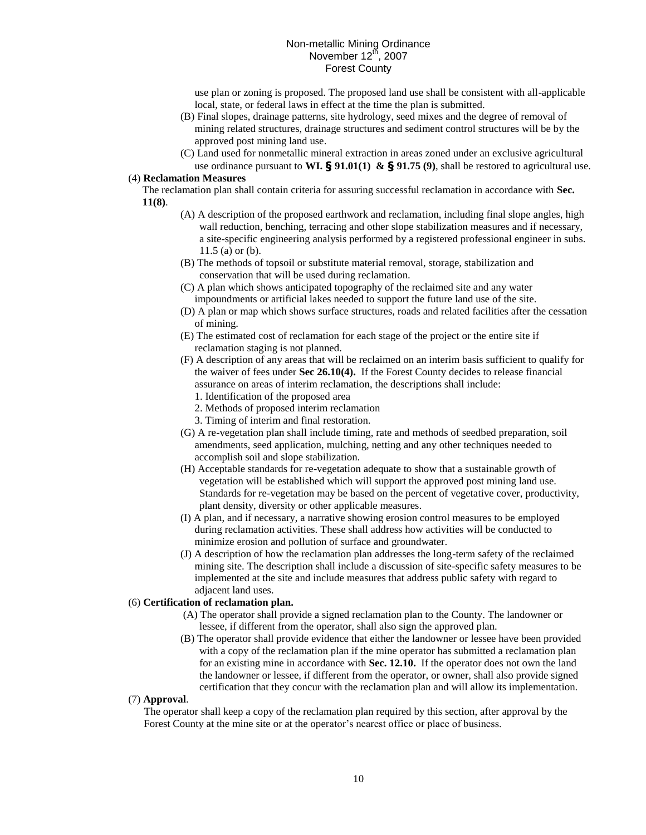use plan or zoning is proposed. The proposed land use shall be consistent with all-applicable local, state, or federal laws in effect at the time the plan is submitted.

- (B) Final slopes, drainage patterns, site hydrology, seed mixes and the degree of removal of mining related structures, drainage structures and sediment control structures will be by the approved post mining land use.
- (C) Land used for nonmetallic mineral extraction in areas zoned under an exclusive agricultural use ordinance pursuant to **WI. § 91.01(1) & § 91.75 (9)**, shall be restored to agricultural use.

### (4) **Reclamation Measures**

The reclamation plan shall contain criteria for assuring successful reclamation in accordance with **Sec. 11(8)**.

- (A) A description of the proposed earthwork and reclamation, including final slope angles, high wall reduction, benching, terracing and other slope stabilization measures and if necessary, a site-specific engineering analysis performed by a registered professional engineer in subs. 11.5 (a) or (b).
- (B) The methods of topsoil or substitute material removal, storage, stabilization and conservation that will be used during reclamation.
- (C) A plan which shows anticipated topography of the reclaimed site and any water impoundments or artificial lakes needed to support the future land use of the site.
- (D) A plan or map which shows surface structures, roads and related facilities after the cessation of mining.
- (E) The estimated cost of reclamation for each stage of the project or the entire site if reclamation staging is not planned.
- (F) A description of any areas that will be reclaimed on an interim basis sufficient to qualify for the waiver of fees under **Sec 26.10(4).** If the Forest County decides to release financial assurance on areas of interim reclamation, the descriptions shall include:
	- 1. Identification of the proposed area
	- 2. Methods of proposed interim reclamation
	- 3. Timing of interim and final restoration.
- (G) A re-vegetation plan shall include timing, rate and methods of seedbed preparation, soil amendments, seed application, mulching, netting and any other techniques needed to accomplish soil and slope stabilization.
- (H) Acceptable standards for re-vegetation adequate to show that a sustainable growth of vegetation will be established which will support the approved post mining land use. Standards for re-vegetation may be based on the percent of vegetative cover, productivity, plant density, diversity or other applicable measures.
- (I) A plan, and if necessary, a narrative showing erosion control measures to be employed during reclamation activities. These shall address how activities will be conducted to minimize erosion and pollution of surface and groundwater.
- (J) A description of how the reclamation plan addresses the long-term safety of the reclaimed mining site. The description shall include a discussion of site-specific safety measures to be implemented at the site and include measures that address public safety with regard to adjacent land uses.

# (6) **Certification of reclamation plan.**

- (A) The operator shall provide a signed reclamation plan to the County. The landowner or lessee, if different from the operator, shall also sign the approved plan.
- (B) The operator shall provide evidence that either the landowner or lessee have been provided with a copy of the reclamation plan if the mine operator has submitted a reclamation plan for an existing mine in accordance with **Sec. 12.10.** If the operator does not own the land the landowner or lessee, if different from the operator, or owner, shall also provide signed certification that they concur with the reclamation plan and will allow its implementation.

# (7) **Approval**.

 The operator shall keep a copy of the reclamation plan required by this section, after approval by the Forest County at the mine site or at the operator's nearest office or place of business.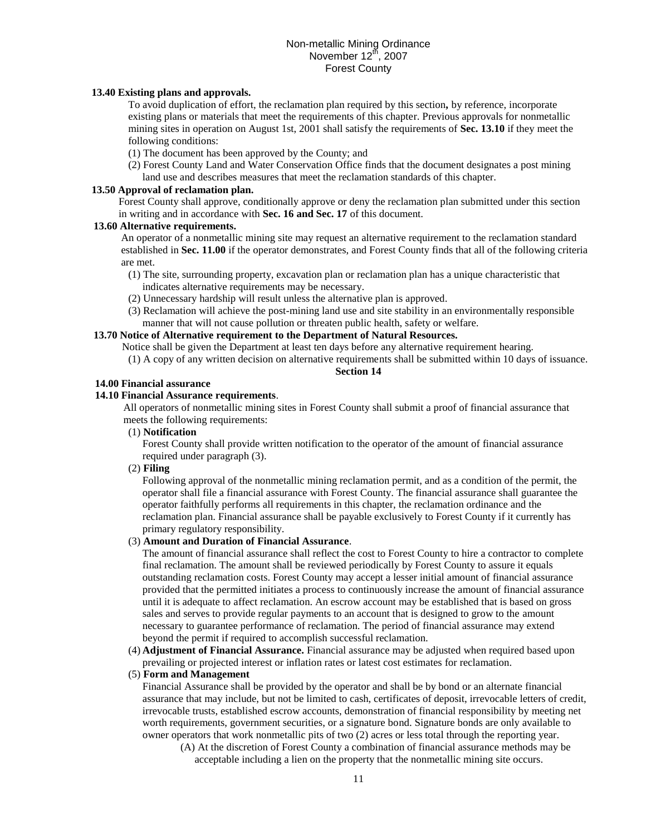# **13.40 Existing plans and approvals.**

To avoid duplication of effort, the reclamation plan required by this section*,* by reference, incorporate existing plans or materials that meet the requirements of this chapter. Previous approvals for nonmetallic mining sites in operation on August 1st, 2001 shall satisfy the requirements of **Sec. 13.10** if they meet the following conditions:

(1) The document has been approved by the County; and

(2) Forest County Land and Water Conservation Office finds that the document designates a post mining land use and describes measures that meet the reclamation standards of this chapter.

# **13.50 Approval of reclamation plan.**

Forest County shall approve, conditionally approve or deny the reclamation plan submitted under this section in writing and in accordance with **Sec. 16 and Sec. 17** of this document.

# **13.60 Alternative requirements.**

An operator of a nonmetallic mining site may request an alternative requirement to the reclamation standard established in **Sec. 11.00** if the operator demonstrates, and Forest County finds that all of the following criteria are met.

- (1) The site, surrounding property, excavation plan or reclamation plan has a unique characteristic that indicates alternative requirements may be necessary.
- (2) Unnecessary hardship will result unless the alternative plan is approved.
- (3) Reclamation will achieve the post-mining land use and site stability in an environmentally responsible manner that will not cause pollution or threaten public health, safety or welfare.

# **13.70 Notice of Alternative requirement to the Department of Natural Resources.**

Notice shall be given the Department at least ten days before any alternative requirement hearing.

(1) A copy of any written decision on alternative requirements shall be submitted within 10 days of issuance. **Section 14**

### **14.00 Financial assurance**

# **14.10 Financial Assurance requirements**.

All operators of nonmetallic mining sites in Forest County shall submit a proof of financial assurance that meets the following requirements:

(1) **Notification** 

Forest County shall provide written notification to the operator of the amount of financial assurance required under paragraph (3).

# (2) **Filing**

Following approval of the nonmetallic mining reclamation permit, and as a condition of the permit, the operator shall file a financial assurance with Forest County. The financial assurance shall guarantee the operator faithfully performs all requirements in this chapter, the reclamation ordinance and the reclamation plan. Financial assurance shall be payable exclusively to Forest County if it currently has primary regulatory responsibility.

# (3) **Amount and Duration of Financial Assurance**.

The amount of financial assurance shall reflect the cost to Forest County to hire a contractor to complete final reclamation. The amount shall be reviewed periodically by Forest County to assure it equals outstanding reclamation costs. Forest County may accept a lesser initial amount of financial assurance provided that the permitted initiates a process to continuously increase the amount of financial assurance until it is adequate to affect reclamation. An escrow account may be established that is based on gross sales and serves to provide regular payments to an account that is designed to grow to the amount necessary to guarantee performance of reclamation. The period of financial assurance may extend beyond the permit if required to accomplish successful reclamation.

(4) **Adjustment of Financial Assurance.** Financial assurance may be adjusted when required based upon prevailing or projected interest or inflation rates or latest cost estimates for reclamation.

# (5) **Form and Management**

Financial Assurance shall be provided by the operator and shall be by bond or an alternate financial assurance that may include, but not be limited to cash, certificates of deposit, irrevocable letters of credit, irrevocable trusts, established escrow accounts, demonstration of financial responsibility by meeting net worth requirements, government securities, or a signature bond. Signature bonds are only available to owner operators that work nonmetallic pits of two (2) acres or less total through the reporting year.

(A) At the discretion of Forest County a combination of financial assurance methods may be acceptable including a lien on the property that the nonmetallic mining site occurs.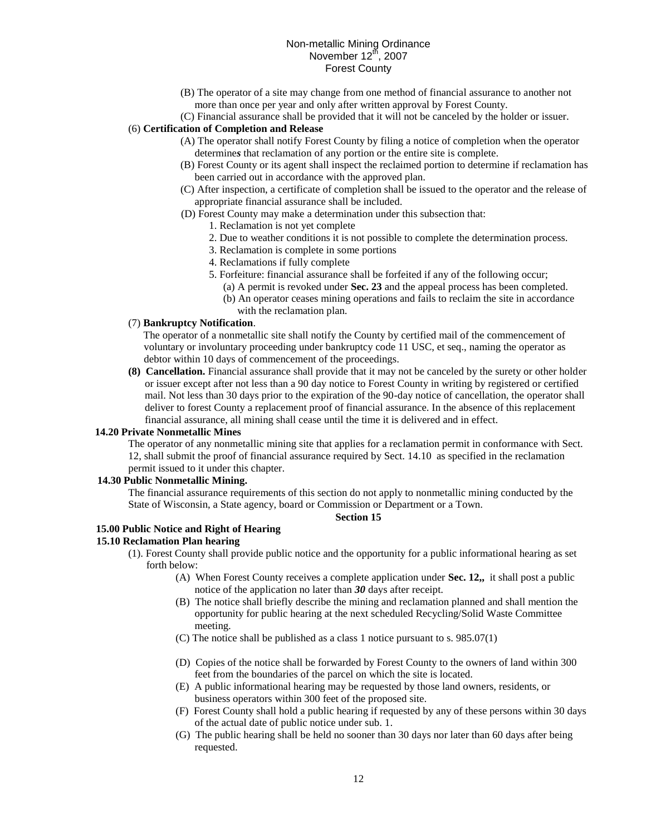- (B) The operator of a site may change from one method of financial assurance to another not more than once per year and only after written approval by Forest County.
- (C) Financial assurance shall be provided that it will not be canceled by the holder or issuer.

# (6) **Certification of Completion and Release**

- (A) The operator shall notify Forest County by filing a notice of completion when the operator determine*s* that reclamation of any portion or the entire site is complete.
- (B) Forest County or its agent shall inspect the reclaimed portion to determine if reclamation has been carried out in accordance with the approved plan.
- (C) After inspection, a certificate of completion shall be issued to the operator and the release of appropriate financial assurance shall be included.
- (D) Forest County may make a determination under this subsection that:
	- 1. Reclamation is not yet complete
	- 2. Due to weather conditions it is not possible to complete the determination process.
	- 3. Reclamation is complete in some portions
	- 4. Reclamations if fully complete
	- 5. Forfeiture: financial assurance shall be forfeited if any of the following occur;
		- (a) A permit is revoked under **Sec. 23** and the appeal process has been completed.
		- (b) An operator ceases mining operations and fails to reclaim the site in accordance with the reclamation plan.

### (7) **Bankruptcy Notification**.

The operator of a nonmetallic site shall notify the County by certified mail of the commencement of voluntary or involuntary proceeding under bankruptcy code 11 USC, et seq., naming the operator as debtor within 10 days of commencement of the proceedings.

**(8) Cancellation.** Financial assurance shall provide that it may not be canceled by the surety or other holder or issuer except after not less than a 90 day notice to Forest County in writing by registered or certified mail. Not less than 30 days prior to the expiration of the 90-day notice of cancellation, the operator shall deliver to forest County a replacement proof of financial assurance. In the absence of this replacement financial assurance, all mining shall cease until the time it is delivered and in effect.

#### **14.20 Private Nonmetallic Mines**

The operator of any nonmetallic mining site that applies for a reclamation permit in conformance with Sect. 12, shall submit the proof of financial assurance required by Sect. 14.10 as specified in the reclamation permit issued to it under this chapter.

### **14.30 Public Nonmetallic Mining.**

The financial assurance requirements of this section do not apply to nonmetallic mining conducted by the State of Wisconsin, a State agency, board or Commission or Department or a Town.

#### **Section 15**

# **15.00 Public Notice and Right of Hearing**

### **15.10 Reclamation Plan hearing**

- (1). Forest County shall provide public notice and the opportunity for a public informational hearing as set forth below:
	- (A) When Forest County receives a complete application under **Sec. 12,,** it shall post a public notice of the application no later than *30* days after receipt.
	- (B) The notice shall briefly describe the mining and reclamation planned and shall mention the opportunity for public hearing at the next scheduled Recycling/Solid Waste Committee meeting.
	- (C) The notice shall be published as a class 1 notice pursuant to s. 985.07(1)
	- (D) Copies of the notice shall be forwarded by Forest County to the owners of land within 300 feet from the boundaries of the parcel on which the site is located.
	- (E) A public informational hearing may be requested by those land owners, residents, or business operators within 300 feet of the proposed site.
	- (F) Forest County shall hold a public hearing if requested by any of these persons within 30 days of the actual date of public notice under sub. 1.
	- (G) The public hearing shall be held no sooner than 30 days nor later than 60 days after being requested.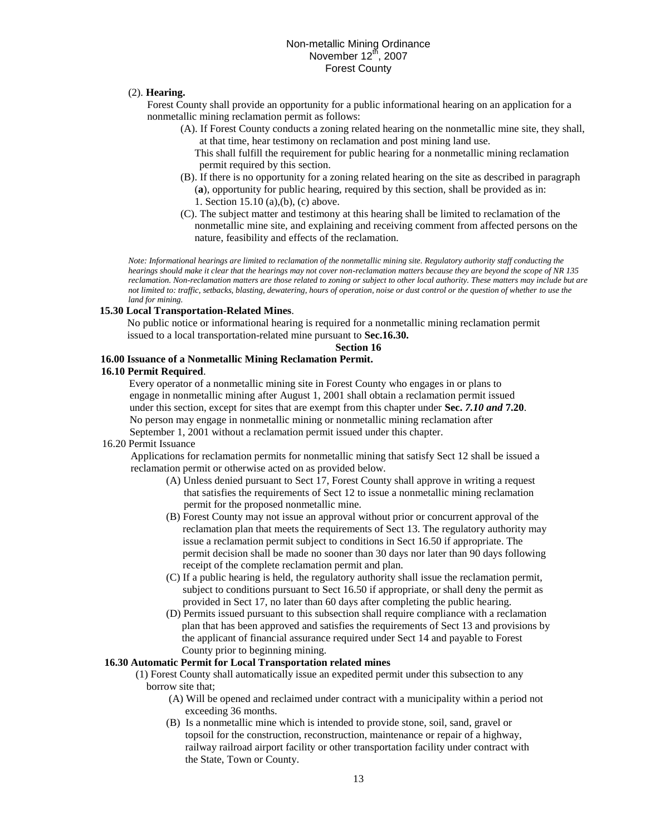# (2). **Hearing.**

Forest County shall provide an opportunity for a public informational hearing on an application for a nonmetallic mining reclamation permit as follows:

(A). If Forest County conducts a zoning related hearing on the nonmetallic mine site, they shall, at that time, hear testimony on reclamation and post mining land use.

This shall fulfill the requirement for public hearing for a nonmetallic mining reclamation permit required by this section.

- (B). If there is no opportunity for a zoning related hearing on the site as described in paragraph (**a**), opportunity for public hearing, required by this section, shall be provided as in: 1. Section 15.10 (a),(b), (c) above.
- (C). The subject matter and testimony at this hearing shall be limited to reclamation of the nonmetallic mine site, and explaining and receiving comment from affected persons on the nature, feasibility and effects of the reclamation.

*Note: Informational hearings are limited to reclamation of the nonmetallic mining site. Regulatory authority staff conducting the hearings should make it clear that the hearings may not cover non-reclamation matters because they are beyond the scope of NR 135 reclamation. Non-reclamation matters are those related to zoning or subject to other local authority. These matters may include but are not limited to: traffic, setbacks, blasting, dewatering, hours of operation, noise or dust control or the question of whether to use the land for mining.*

# **15.30 Local Transportation-Related Mines**.

No public notice or informational hearing is required for a nonmetallic mining reclamation permit issued to a local transportation-related mine pursuant to **Sec.16.30.**

### **Section 16**

# **16.00 Issuance of a Nonmetallic Mining Reclamation Permit.**

### **16.10 Permit Required**.

Every operator of a nonmetallic mining site in Forest County who engages in or plans to engage in nonmetallic mining after August 1, 2001 shall obtain a reclamation permit issued under this section, except for sites that are exempt from this chapter under **Sec.** *7.10 and* **7.20**. No person may engage in nonmetallic mining or nonmetallic mining reclamation after

September 1, 2001 without a reclamation permit issued under this chapter.

### 16.20 Permit Issuance

Applications for reclamation permits for nonmetallic mining that satisfy Sect 12 shall be issued a reclamation permit or otherwise acted on as provided below.

- (A) Unless denied pursuant to Sect 17, Forest County shall approve in writing a request that satisfies the requirements of Sect 12 to issue a nonmetallic mining reclamation permit for the proposed nonmetallic mine.
- (B) Forest County may not issue an approval without prior or concurrent approval of the reclamation plan that meets the requirements of Sect 13. The regulatory authority may issue a reclamation permit subject to conditions in Sect 16.50 if appropriate. The permit decision shall be made no sooner than 30 days nor later than 90 days following receipt of the complete reclamation permit and plan.
- (C) If a public hearing is held, the regulatory authority shall issue the reclamation permit, subject to conditions pursuant to Sect 16.50 if appropriate, or shall deny the permit as provided in Sect 17, no later than 60 days after completing the public hearing.
- (D) Permits issued pursuant to this subsection shall require compliance with a reclamation plan that has been approved and satisfies the requirements of Sect 13 and provisions by the applicant of financial assurance required under Sect 14 and payable to Forest County prior to beginning mining.

### **16.30 Automatic Permit for Local Transportation related mines**

- (1) Forest County shall automatically issue an expedited permit under this subsection to any borrow site that;
	- (A) Will be opened and reclaimed under contract with a municipality within a period not exceeding 36 months.
	- (B) Is a nonmetallic mine which is intended to provide stone, soil, sand, gravel or topsoil for the construction, reconstruction, maintenance or repair of a highway, railway railroad airport facility or other transportation facility under contract with the State, Town or County.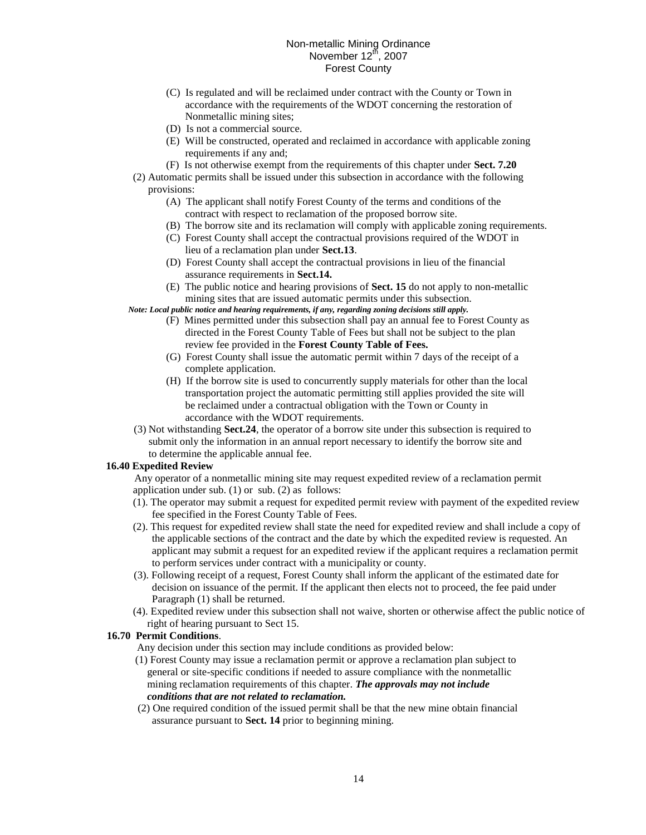- (C) Is regulated and will be reclaimed under contract with the County or Town in accordance with the requirements of the WDOT concerning the restoration of Nonmetallic mining sites;
- (D) Is not a commercial source.
- (E) Will be constructed, operated and reclaimed in accordance with applicable zoning requirements if any and:
- (F) Is not otherwise exempt from the requirements of this chapter under **Sect. 7.20**
- (2) Automatic permits shall be issued under this subsection in accordance with the following provisions:
	- (A) The applicant shall notify Forest County of the terms and conditions of the contract with respect to reclamation of the proposed borrow site.
	- (B) The borrow site and its reclamation will comply with applicable zoning requirements.
	- (C) Forest County shall accept the contractual provisions required of the WDOT in lieu of a reclamation plan under **Sect.13**.
	- (D) Forest County shall accept the contractual provisions in lieu of the financial assurance requirements in **Sect.14.**
	- (E) The public notice and hearing provisions of **Sect. 15** do not apply to non-metallic mining sites that are issued automatic permits under this subsection.

*Note: Local public notice and hearing requirements, if any, regarding zoning decisions still apply.*

- (F) Mines permitted under this subsection shall pay an annual fee to Forest County as directed in the Forest County Table of Fees but shall not be subject to the plan review fee provided in the **Forest County Table of Fees.**
- (G) Forest County shall issue the automatic permit within 7 days of the receipt of a complete application.
- (H) If the borrow site is used to concurrently supply materials for other than the local transportation project the automatic permitting still applies provided the site will be reclaimed under a contractual obligation with the Town or County in accordance with the WDOT requirements.
- (3) Not withstanding **Sect.24**, the operator of a borrow site under this subsection is required to submit only the information in an annual report necessary to identify the borrow site and to determine the applicable annual fee.

# **16.40 Expedited Review**

Any operator of a nonmetallic mining site may request expedited review of a reclamation permit application under sub. (1) or sub. (2) as follows:

- (1). The operator may submit a request for expedited permit review with payment of the expedited review fee specified in the Forest County Table of Fees.
- (2). This request for expedited review shall state the need for expedited review and shall include a copy of the applicable sections of the contract and the date by which the expedited review is requested. An applicant may submit a request for an expedited review if the applicant requires a reclamation permit to perform services under contract with a municipality or county.
- (3). Following receipt of a request, Forest County shall inform the applicant of the estimated date for decision on issuance of the permit. If the applicant then elects not to proceed, the fee paid under Paragraph (1) shall be returned.
- (4). Expedited review under this subsection shall not waive, shorten or otherwise affect the public notice of right of hearing pursuant to Sect 15.

# **16.70 Permit Conditions**.

Any decision under this section may include conditions as provided below:

- (1) Forest County may issue a reclamation permit or approve a reclamation plan subject to general or site-specific conditions if needed to assure compliance with the nonmetallic mining reclamation requirements of this chapter. *The approvals may not include conditions that are not related to reclamation.*
- (2) One required condition of the issued permit shall be that the new mine obtain financial assurance pursuant to **Sect. 14** prior to beginning mining.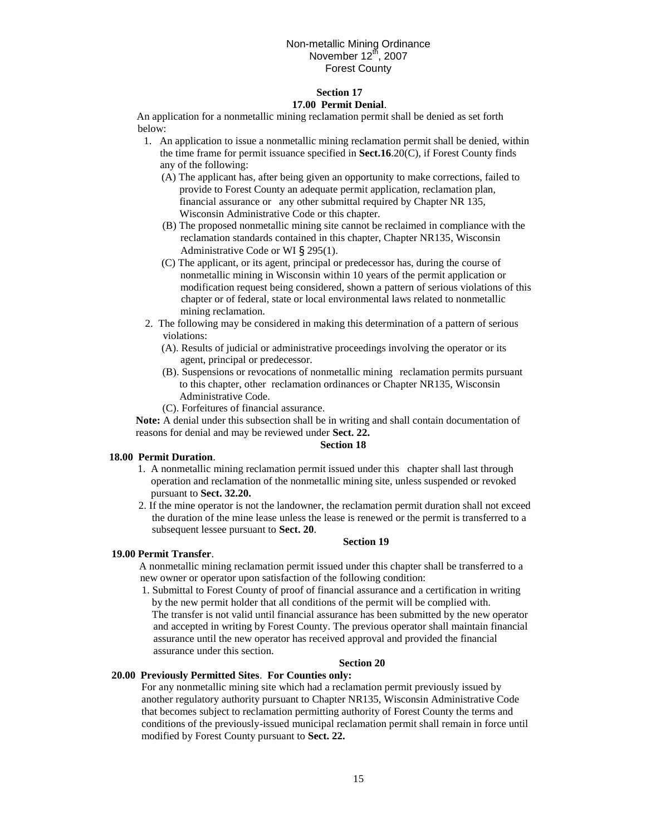### **Section 17 17.00 Permit Denial**.

An application for a nonmetallic mining reclamation permit shall be denied as set forth below:

- 1. An application to issue a nonmetallic mining reclamation permit shall be denied, within the time frame for permit issuance specified in **Sect.16**.20(C), if Forest County finds any of the following:
	- (A) The applicant has, after being given an opportunity to make corrections, failed to provide to Forest County an adequate permit application, reclamation plan, financial assurance or any other submittal required by Chapter NR 135, Wisconsin Administrative Code or this chapter.
	- (B) The proposed nonmetallic mining site cannot be reclaimed in compliance with the reclamation standards contained in this chapter, Chapter NR135, Wisconsin Administrative Code or WI § 295(1).
	- (C) The applicant, or its agent, principal or predecessor has, during the course of nonmetallic mining in Wisconsin within 10 years of the permit application or modification request being considered, shown a pattern of serious violations of this chapter or of federal, state or local environmental laws related to nonmetallic mining reclamation.
- 2. The following may be considered in making this determination of a pattern of serious violations:
	- (A). Results of judicial or administrative proceedings involving the operator or its agent, principal or predecessor.
	- (B). Suspensions or revocations of nonmetallic mining reclamation permits pursuant to this chapter, other reclamation ordinances or Chapter NR135, Wisconsin Administrative Code.
	- (C). Forfeitures of financial assurance.

**Note:** A denial under this subsection shall be in writing and shall contain documentation of reasons for denial and may be reviewed under **Sect. 22.**

# **Section 18**

### **18.00 Permit Duration**.

- 1. A nonmetallic mining reclamation permit issued under this chapter shall last through operation and reclamation of the nonmetallic mining site, unless suspended or revoked pursuant to **Sect. 32.20.**
- 2. If the mine operator is not the landowner, the reclamation permit duration shall not exceed the duration of the mine lease unless the lease is renewed or the permit is transferred to a subsequent lessee pursuant to **Sect. 20**.

### **Section 19**

### **19.00 Permit Transfer**.

A nonmetallic mining reclamation permit issued under this chapter shall be transferred to a new owner or operator upon satisfaction of the following condition:

1. Submittal to Forest County of proof of financial assurance and a certification in writing by the new permit holder that all conditions of the permit will be complied with.

 The transfer is not valid until financial assurance has been submitted by the new operator and accepted in writing by Forest County. The previous operator shall maintain financial assurance until the new operator has received approval and provided the financial assurance under this section.

# **Section 20**

# **20.00 Previously Permitted Sites**. **For Counties only:**

For any nonmetallic mining site which had a reclamation permit previously issued by another regulatory authority pursuant to Chapter NR135, Wisconsin Administrative Code that becomes subject to reclamation permitting authority of Forest County the terms and conditions of the previously-issued municipal reclamation permit shall remain in force until modified by Forest County pursuant to **Sect. 22.**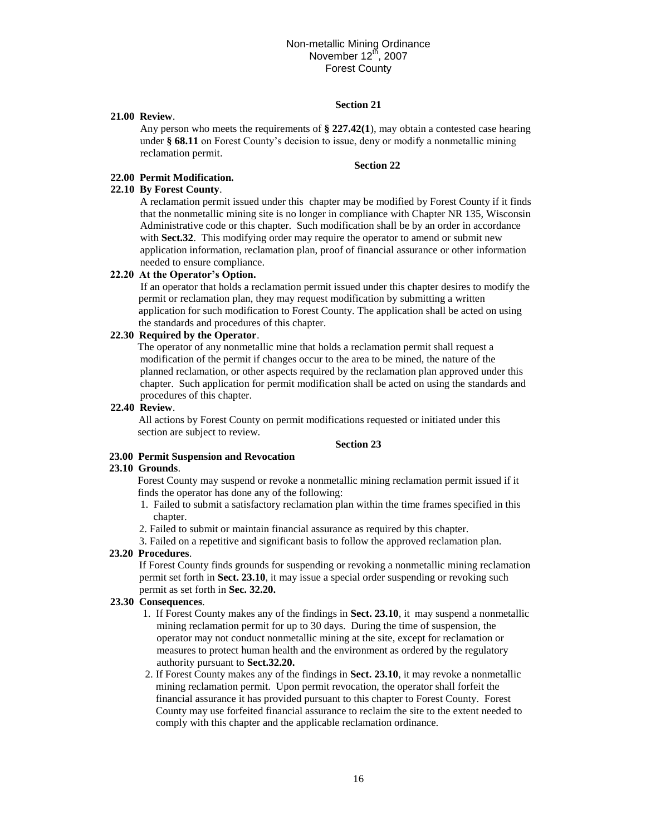# **Section 21**

### **21.00 Review**.

Any person who meets the requirements of **§ 227.42(1**), may obtain a contested case hearing under **§ 68.11** on Forest County's decision to issue, deny or modify a nonmetallic mining reclamation permit.

### **Section 22**

# **22.00 Permit Modification.**

### **22.10 By Forest County**.

A reclamation permit issued under this chapter may be modified by Forest County if it finds that the nonmetallic mining site is no longer in compliance with Chapter NR 135, Wisconsin Administrative code or this chapter. Such modification shall be by an order in accordance with **Sect.32**. This modifying order may require the operator to amend or submit new application information, reclamation plan, proof of financial assurance or other information needed to ensure compliance.

### **22.20 At the Operator's Option.**

If an operator that holds a reclamation permit issued under this chapter desires to modify the permit or reclamation plan, they may request modification by submitting a written application for such modification to Forest County. The application shall be acted on using the standards and procedures of this chapter.

# **22.30 Required by the Operator**.

The operator of any nonmetallic mine that holds a reclamation permit shall request a modification of the permit if changes occur to the area to be mined, the nature of the planned reclamation, or other aspects required by the reclamation plan approved under this chapter. Such application for permit modification shall be acted on using the standards and procedures of this chapter.

### **22.40 Review**.

All actions by Forest County on permit modifications requested or initiated under this section are subject to review.

# **Section 23**

# **23.00 Permit Suspension and Revocation**

# **23.10 Grounds**.

Forest County may suspend or revoke a nonmetallic mining reclamation permit issued if it finds the operator has done any of the following:

- 1. Failed to submit a satisfactory reclamation plan within the time frames specified in this chapter.
- 2. Failed to submit or maintain financial assurance as required by this chapter.

3. Failed on a repetitive and significant basis to follow the approved reclamation plan.

### **23.20 Procedures**.

If Forest County finds grounds for suspending or revoking a nonmetallic mining reclamation permit set forth in **Sect. 23.10**, it may issue a special order suspending or revoking such permit as set forth in **Sec. 32.20.**

### **23.30 Consequences**.

- 1. If Forest County makes any of the findings in **Sect. 23.10**, it may suspend a nonmetallic mining reclamation permit for up to 30 days. During the time of suspension, the operator may not conduct nonmetallic mining at the site, except for reclamation or measures to protect human health and the environment as ordered by the regulatory authority pursuant to **Sect.32.20.**
- 2. If Forest County makes any of the findings in **Sect. 23.10**, it may revoke a nonmetallic mining reclamation permit. Upon permit revocation, the operator shall forfeit the financial assurance it has provided pursuant to this chapter to Forest County. Forest County may use forfeited financial assurance to reclaim the site to the extent needed to comply with this chapter and the applicable reclamation ordinance.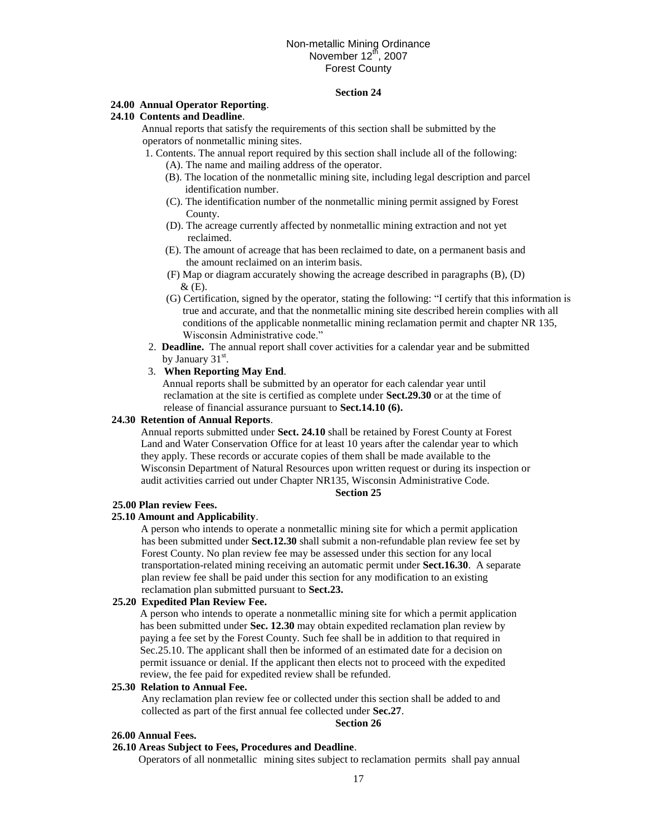# **Section 24**

# **24.00 Annual Operator Reporting**.

# **24.10 Contents and Deadline**.

Annual reports that satisfy the requirements of this section shall be submitted by the operators of nonmetallic mining sites.

- 1. Contents. The annual report required by this section shall include all of the following: (A). The name and mailing address of the operator.
	- (B). The location of the nonmetallic mining site, including legal description and parcel identification number.
	- (C). The identification number of the nonmetallic mining permit assigned by Forest County.
	- (D). The acreage currently affected by nonmetallic mining extraction and not yet reclaimed.
	- (E). The amount of acreage that has been reclaimed to date, on a permanent basis and the amount reclaimed on an interim basis.
	- (F) Map or diagram accurately showing the acreage described in paragraphs (B), (D)  $&$  (E).
	- (G) Certification, signed by the operator*,* stating the following: "I certify that this information is true and accurate, and that the nonmetallic mining site described herein complies with all conditions of the applicable nonmetallic mining reclamation permit and chapter NR 135, Wisconsin Administrative code."
- 2. **Deadline.** The annual report shall cover activities for a calendar year and be submitted by January 31<sup>st</sup>.
- 3. **When Reporting May End**.

Annual reports shall be submitted by an operator for each calendar year until reclamation at the site is certified as complete under **Sect.29.30** or at the time of release of financial assurance pursuant to **Sect.14.10 (6).**

### **24.30 Retention of Annual Reports**.

Annual reports submitted under **Sect. 24.10** shall be retained by Forest County at Forest Land and Water Conservation Office for at least 10 years after the calendar year to which they apply. These records or accurate copies of them shall be made available to the Wisconsin Department of Natural Resources upon written request or during its inspection or audit activities carried out under Chapter NR135, Wisconsin Administrative Code.

### **Section 25**

### **25.00 Plan review Fees.**

# **25.10 Amount and Applicability**.

A person who intends to operate a nonmetallic mining site for which a permit application has been submitted under **Sect.12.30** shall submit a non-refundable plan review fee set by Forest County. No plan review fee may be assessed under this section for any local transportation-related mining receiving an automatic permit under **Sect.16.30**. A separate plan review fee shall be paid under this section for any modification to an existing reclamation plan submitted pursuant to **Sect.23.**

## **25.20 Expedited Plan Review Fee.**

A person who intends to operate a nonmetallic mining site for which a permit application has been submitted under **Sec. 12.30** may obtain expedited reclamation plan review by paying a fee set by the Forest County. Such fee shall be in addition to that required in Sec.25.10. The applicant shall then be informed of an estimated date for a decision on permit issuance or denial. If the applicant then elects not to proceed with the expedited review, the fee paid for expedited review shall be refunded.

### **25.30 Relation to Annual Fee.**

Any reclamation plan review fee or collected under this section shall be added to and collected as part of the first annual fee collected under **Sec.27**.

### **Section 26**

## **26.00 Annual Fees.**

## **26.10 Areas Subject to Fees, Procedures and Deadline**.

Operators of all nonmetallic mining sites subject to reclamation permits shall pay annual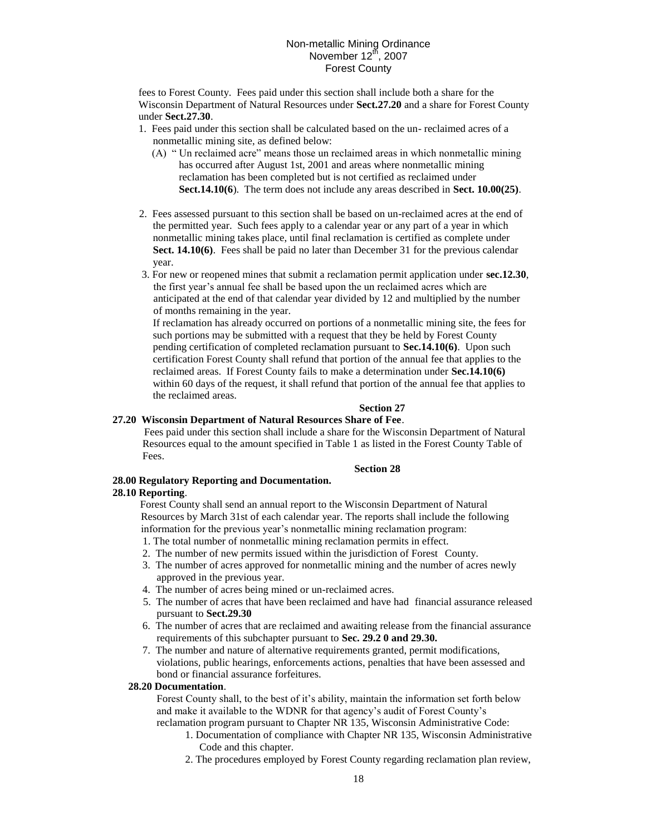fees to Forest County. Fees paid under this section shall include both a share for the Wisconsin Department of Natural Resources under **Sect.27.20** and a share for Forest County under **Sect.27.30**.

- 1. Fees paid under this section shall be calculated based on the un- reclaimed acres of a nonmetallic mining site, as defined below:
	- (A) " Un reclaimed acre" means those un reclaimed areas in which nonmetallic mining has occurred after August 1st, 2001 and areas where nonmetallic mining reclamation has been completed but is not certified as reclaimed under **Sect.14.10(6**). The term does not include any areas described in **Sect. 10.00(25)**.
- 2. Fees assessed pursuant to this section shall be based on un-reclaimed acres at the end of the permitted year. Such fees apply to a calendar year or any part of a year in which nonmetallic mining takes place, until final reclamation is certified as complete under **Sect. 14.10(6)**. Fees shall be paid no later than December 31 for the previous calendar year.
- 3. For new or reopened mines that submit a reclamation permit application under **sec.12.30**, the first year's annual fee shall be based upon the un reclaimed acres which are anticipated at the end of that calendar year divided by 12 and multiplied by the number of months remaining in the year.

If reclamation has already occurred on portions of a nonmetallic mining site, the fees for such portions may be submitted with a request that they be held by Forest County pending certification of completed reclamation pursuant to **Sec.14.10(6)**. Upon such certification Forest County shall refund that portion of the annual fee that applies to the reclaimed areas. If Forest County fails to make a determination under **Sec.14.10(6)** within 60 days of the request, it shall refund that portion of the annual fee that applies to the reclaimed areas.

# **Section 27**

# **27.20 Wisconsin Department of Natural Resources Share of Fee**.

Fees paid under this section shall include a share for the Wisconsin Department of Natural Resources equal to the amount specified in Table 1 as listed in the Forest County Table of Fees.

# **Section 28**

# **28.00 Regulatory Reporting and Documentation.**

### **28.10 Reporting**.

Forest County shall send an annual report to the Wisconsin Department of Natural Resources by March 31st of each calendar year. The reports shall include the following information for the previous year's nonmetallic mining reclamation program:

- 1. The total number of nonmetallic mining reclamation permits in effect.
- 2. The number of new permits issued within the jurisdiction of Forest County.
- 3. The number of acres approved for nonmetallic mining and the number of acres newly approved in the previous year.
- 4. The number of acres being mined or un-reclaimed acres.
- 5. The number of acres that have been reclaimed and have had financial assurance released pursuant to **Sect.29.30**
- 6. The number of acres that are reclaimed and awaiting release from the financial assurance requirements of this subchapter pursuant to **Sec. 29.2 0 and 29.30.**
- 7. The number and nature of alternative requirements granted, permit modifications, violations, public hearings, enforcements actions, penalties that have been assessed and bond or financial assurance forfeitures.

# **28.20 Documentation**.

Forest County shall, to the best of it's ability, maintain the information set forth below and make it available to the WDNR for that agency's audit of Forest County's reclamation program pursuant to Chapter NR 135, Wisconsin Administrative Code:

- 1. Documentation of compliance with Chapter NR 135, Wisconsin Administrative Code and this chapter.
- 2. The procedures employed by Forest County regarding reclamation plan review,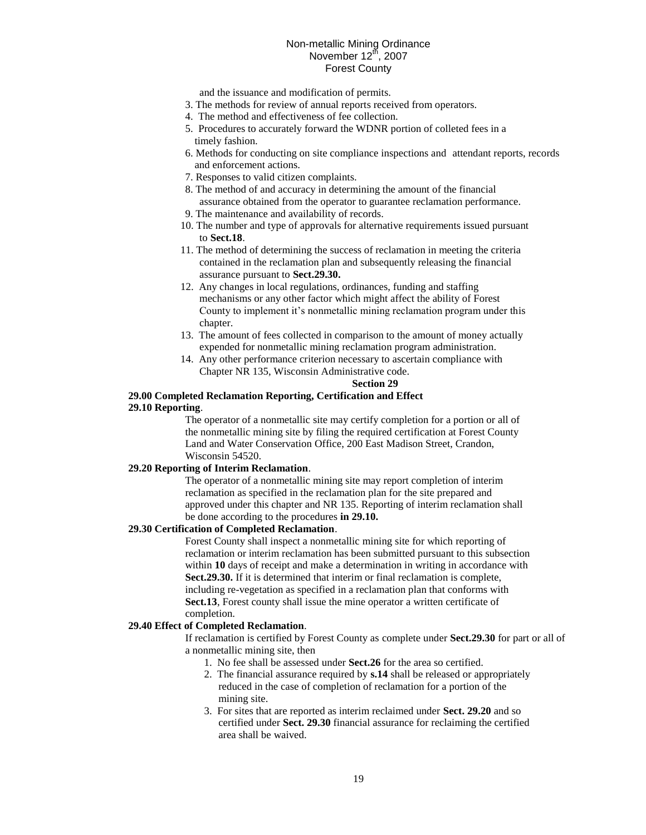and the issuance and modification of permits.

- 3. The methods for review of annual reports received from operators.
- 4. The method and effectiveness of fee collection.
- 5. Procedures to accurately forward the WDNR portion of colleted fees in a timely fashion.
- 6. Methods for conducting on site compliance inspections and attendant reports, records and enforcement actions.
- 7. Responses to valid citizen complaints.
- 8. The method of and accuracy in determining the amount of the financial assurance obtained from the operator to guarantee reclamation performance.
- 9. The maintenance and availability of records.
- 10. The number and type of approvals for alternative requirements issued pursuant to **Sect.18**.
- 11. The method of determining the success of reclamation in meeting the criteria contained in the reclamation plan and subsequently releasing the financial assurance pursuant to **Sect.29.30.**
- 12. Any changes in local regulations, ordinances, funding and staffing mechanisms or any other factor which might affect the ability of Forest County to implement it's nonmetallic mining reclamation program under this chapter.
- 13. The amount of fees collected in comparison to the amount of money actually expended for nonmetallic mining reclamation program administration.
- 14. Any other performance criterion necessary to ascertain compliance with Chapter NR 135, Wisconsin Administrative code.

### **Section 29**

### **29.00 Completed Reclamation Reporting, Certification and Effect 29.10 Reporting**.

The operator of a nonmetallic site may certify completion for a portion or all of the nonmetallic mining site by filing the required certification at Forest County Land and Water Conservation Office, 200 East Madison Street, Crandon, Wisconsin 54520.

# **29.20 Reporting of Interim Reclamation**.

The operator of a nonmetallic mining site may report completion of interim reclamation as specified in the reclamation plan for the site prepared and approved under this chapter and NR 135. Reporting of interim reclamation shall be done according to the procedures **in 29.10.**

### **29.30 Certification of Completed Reclamation**.

Forest County shall inspect a nonmetallic mining site for which reporting of reclamation or interim reclamation has been submitted pursuant to this subsection within **10** days of receipt and make a determination in writing in accordance with **Sect.29.30.** If it is determined that interim or final reclamation is complete, including re-vegetation as specified in a reclamation plan that conforms with **Sect.13**, Forest county shall issue the mine operator a written certificate of completion.

# **29.40 Effect of Completed Reclamation**.

If reclamation is certified by Forest County as complete under **Sect.29.30** for part or all of a nonmetallic mining site, then

- 1. No fee shall be assessed under **Sect.26** for the area so certified.
- 2. The financial assurance required by **s.14** shall be released or appropriately reduced in the case of completion of reclamation for a portion of the mining site.
- 3. For sites that are reported as interim reclaimed under **Sect. 29.20** and so certified under **Sect. 29.30** financial assurance for reclaiming the certified area shall be waived.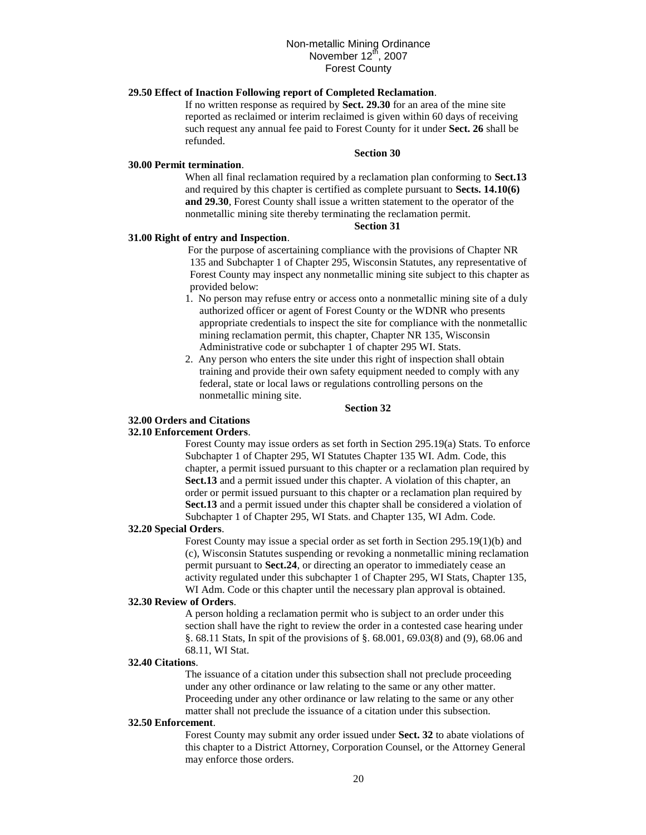# **29.50 Effect of Inaction Following report of Completed Reclamation**.

If no written response as required by **Sect. 29.30** for an area of the mine site reported as reclaimed or interim reclaimed is given within 60 days of receiving such request any annual fee paid to Forest County for it under **Sect. 26** shall be refunded.

#### **Section 30**

### **30.00 Permit termination**.

When all final reclamation required by a reclamation plan conforming to **Sect.13** and required by this chapter is certified as complete pursuant to **Sects. 14.10(6) and 29.30**, Forest County shall issue a written statement to the operator of the nonmetallic mining site thereby terminating the reclamation permit.

# **Section 31**

## **31.00 Right of entry and Inspection**.

For the purpose of ascertaining compliance with the provisions of Chapter NR 135 and Subchapter 1 of Chapter 295, Wisconsin Statutes, any representative of Forest County may inspect any nonmetallic mining site subject to this chapter as provided below:

- 1. No person may refuse entry or access onto a nonmetallic mining site of a duly authorized officer or agent of Forest County or the WDNR who presents appropriate credentials to inspect the site for compliance with the nonmetallic mining reclamation permit, this chapter, Chapter NR 135, Wisconsin Administrative code or subchapter 1 of chapter 295 WI. Stats.
- 2. Any person who enters the site under this right of inspection shall obtain training and provide their own safety equipment needed to comply with any federal, state or local laws or regulations controlling persons on the nonmetallic mining site.

### **Section 32**

# **32.00 Orders and Citations**

### **32.10 Enforcement Orders**.

Forest County may issue orders as set forth in Section 295.19(a) Stats. To enforce Subchapter 1 of Chapter 295, WI Statutes Chapter 135 WI. Adm. Code, this chapter, a permit issued pursuant to this chapter or a reclamation plan required by **Sect.13** and a permit issued under this chapter. A violation of this chapter, an order or permit issued pursuant to this chapter or a reclamation plan required by **Sect.13** and a permit issued under this chapter shall be considered a violation of Subchapter 1 of Chapter 295, WI Stats. and Chapter 135, WI Adm. Code.

### **32.20 Special Orders**.

Forest County may issue a special order as set forth in Section 295.19(1)(b) and (c), Wisconsin Statutes suspending or revoking a nonmetallic mining reclamation permit pursuant to **Sect.24**, or directing an operator to immediately cease an activity regulated under this subchapter 1 of Chapter 295, WI Stats, Chapter 135, WI Adm. Code or this chapter until the necessary plan approval is obtained.

#### **32.30 Review of Orders**.

A person holding a reclamation permit who is subject to an order under this section shall have the right to review the order in a contested case hearing under §. 68.11 Stats, In spit of the provisions of §. 68.001, 69.03(8) and (9), 68.06 and 68.11, WI Stat.

### **32.40 Citations**.

The issuance of a citation under this subsection shall not preclude proceeding under any other ordinance or law relating to the same or any other matter. Proceeding under any other ordinance or law relating to the same or any other matter shall not preclude the issuance of a citation under this subsection.

#### **32.50 Enforcement**.

Forest County may submit any order issued under **Sect. 32** to abate violations of this chapter to a District Attorney, Corporation Counsel, or the Attorney General may enforce those orders.